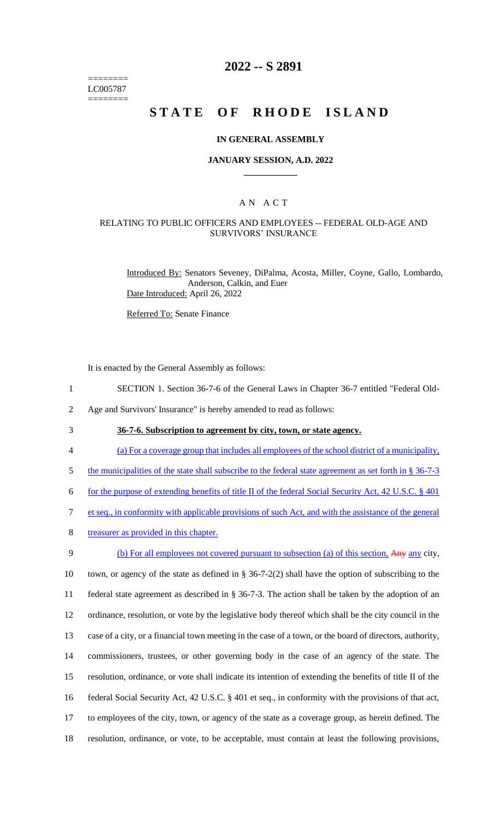======== LC005787 ========

## **2022 -- S 2891**

# **STATE OF RHODE ISLAND**

#### **IN GENERAL ASSEMBLY**

#### **JANUARY SESSION, A.D. 2022 \_\_\_\_\_\_\_\_\_\_\_\_**

## A N A C T

## RELATING TO PUBLIC OFFICERS AND EMPLOYEES -- FEDERAL OLD-AGE AND SURVIVORS' INSURANCE

Introduced By: Senators Seveney, DiPalma, Acosta, Miller, Coyne, Gallo, Lombardo, Anderson, Calkin, and Euer Date Introduced: April 26, 2022

Referred To: Senate Finance

It is enacted by the General Assembly as follows:

- 1 SECTION 1. Section 36-7-6 of the General Laws in Chapter 36-7 entitled "Federal Old-
- 2 Age and Survivors' Insurance" is hereby amended to read as follows:
- 

3 **36-7-6. Subscription to agreement by city, town, or state agency.**

- 4 (a) For a coverage group that includes all employees of the school district of a municipality,
- 5 the municipalities of the state shall subscribe to the federal state agreement as set forth in § 36-7-3
- 6 for the purpose of extending benefits of title II of the federal Social Security Act, 42 U.S.C. § 401
- 7 et seq., in conformity with applicable provisions of such Act, and with the assistance of the general
- 8 treasurer as provided in this chapter.

 (b) For all employees not covered pursuant to subsection (a) of this section, Any any city, town, or agency of the state as defined in § 36-7-2(2) shall have the option of subscribing to the federal state agreement as described in § 36-7-3. The action shall be taken by the adoption of an ordinance, resolution, or vote by the legislative body thereof which shall be the city council in the case of a city, or a financial town meeting in the case of a town, or the board of directors, authority, commissioners, trustees, or other governing body in the case of an agency of the state. The resolution, ordinance, or vote shall indicate its intention of extending the benefits of title II of the federal Social Security Act, 42 U.S.C. § 401 et seq., in conformity with the provisions of that act, to employees of the city, town, or agency of the state as a coverage group, as herein defined. The resolution, ordinance, or vote, to be acceptable, must contain at least the following provisions,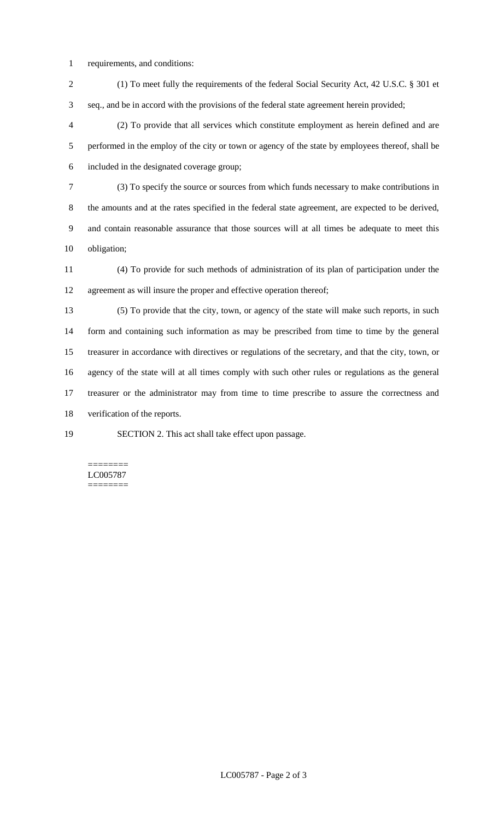- requirements, and conditions:
- (1) To meet fully the requirements of the federal Social Security Act, 42 U.S.C. § 301 et seq., and be in accord with the provisions of the federal state agreement herein provided;

 (2) To provide that all services which constitute employment as herein defined and are performed in the employ of the city or town or agency of the state by employees thereof, shall be included in the designated coverage group;

 (3) To specify the source or sources from which funds necessary to make contributions in the amounts and at the rates specified in the federal state agreement, are expected to be derived, and contain reasonable assurance that those sources will at all times be adequate to meet this obligation;

 (4) To provide for such methods of administration of its plan of participation under the agreement as will insure the proper and effective operation thereof;

 (5) To provide that the city, town, or agency of the state will make such reports, in such form and containing such information as may be prescribed from time to time by the general treasurer in accordance with directives or regulations of the secretary, and that the city, town, or agency of the state will at all times comply with such other rules or regulations as the general treasurer or the administrator may from time to time prescribe to assure the correctness and verification of the reports.

SECTION 2. This act shall take effect upon passage.

======== LC005787 ========